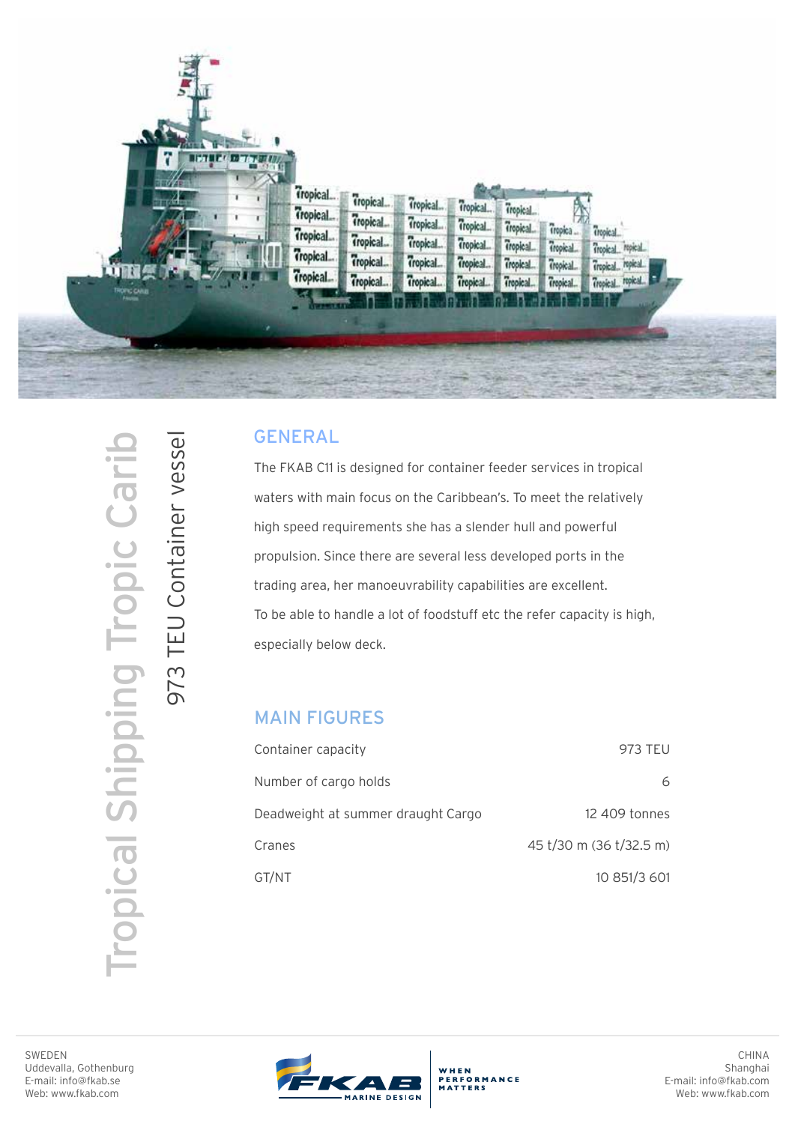

## GENERAL

The FKAB C11 is designed for container feeder services in tropical waters with main focus on the Caribbean's. To meet the relatively high speed requirements she has a slender hull and powerful propulsion. Since there are several less developed ports in the trading area, her manoeuvrability capabilities are excellent. To be able to handle a lot of foodstuff etc the refer capacity is high, especially below deck.

## MAIN FIGURES

| Container capacity                 | 973 TEU                 |
|------------------------------------|-------------------------|
| Number of cargo holds              | 6                       |
| Deadweight at summer draught Cargo | 12 409 tonnes           |
| Cranes                             | 45 t/30 m (36 t/32.5 m) |
| GT/NT                              | 10 851/3 601            |

Tropical Shipping Tropic Carib **Tropical Shipping Tropic Caril**  973 TEU Container vessel

973 TEU Container vessel





WHEN<br>PERFORMANCE<br>MATTERS

CHINA Shanghai E-mail: info@fkab.com Web: www.fkab.com